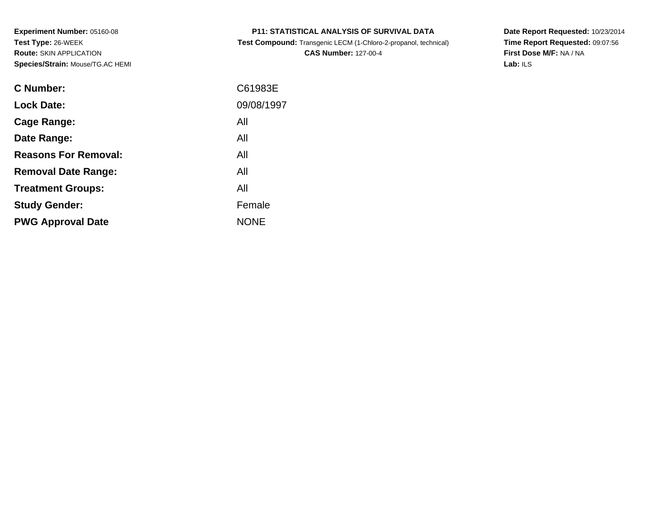**Test Compound:** Transgenic LECM (1-Chloro-2-propanol, technical)**CAS Number:** 127-00-4

**Date Report Requested:** 10/23/2014 **Time Report Requested:** 09:07:56**First Dose M/F:** NA / NA**Lab:** ILS

| <b>C</b> Number:            | C61983E     |
|-----------------------------|-------------|
| <b>Lock Date:</b>           | 09/08/1997  |
| Cage Range:                 | All         |
| Date Range:                 | All         |
| <b>Reasons For Removal:</b> | All         |
| <b>Removal Date Range:</b>  | All         |
| <b>Treatment Groups:</b>    | All         |
| <b>Study Gender:</b>        | Female      |
| <b>PWG Approval Date</b>    | <b>NONE</b> |
|                             |             |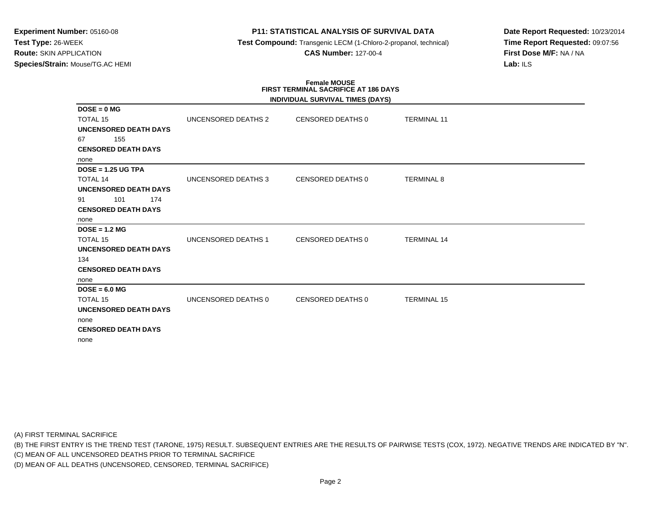# **P11: STATISTICAL ANALYSIS OF SURVIVAL DATA**

**Test Compound:** Transgenic LECM (1-Chloro-2-propanol, technical)

**CAS Number:** 127-00-4

**Date Report Requested:** 10/23/2014**Time Report Requested:** 09:07:56**First Dose M/F:** NA / NA**Lab:** ILS

# **Female MOUSE FIRST TERMINAL SACRIFICE AT 186 DAYS**

|                              |                     | INDIVIDUAL SURVIVAL TIMES (DAYS) |                    |  |
|------------------------------|---------------------|----------------------------------|--------------------|--|
| $DOSE = 0 MG$                |                     |                                  |                    |  |
| <b>TOTAL 15</b>              | UNCENSORED DEATHS 2 | CENSORED DEATHS 0                | <b>TERMINAL 11</b> |  |
| <b>UNCENSORED DEATH DAYS</b> |                     |                                  |                    |  |
| 155<br>67                    |                     |                                  |                    |  |
| <b>CENSORED DEATH DAYS</b>   |                     |                                  |                    |  |
| none                         |                     |                                  |                    |  |
| $DOSE = 1.25 UG TPA$         |                     |                                  |                    |  |
| <b>TOTAL 14</b>              | UNCENSORED DEATHS 3 | CENSORED DEATHS 0                | <b>TERMINAL 8</b>  |  |
| <b>UNCENSORED DEATH DAYS</b> |                     |                                  |                    |  |
| 101<br>174<br>91             |                     |                                  |                    |  |
| <b>CENSORED DEATH DAYS</b>   |                     |                                  |                    |  |
| none                         |                     |                                  |                    |  |
| $DOSE = 1.2 MG$              |                     |                                  |                    |  |
| <b>TOTAL 15</b>              | UNCENSORED DEATHS 1 | CENSORED DEATHS 0                | <b>TERMINAL 14</b> |  |
| <b>UNCENSORED DEATH DAYS</b> |                     |                                  |                    |  |
| 134                          |                     |                                  |                    |  |
| <b>CENSORED DEATH DAYS</b>   |                     |                                  |                    |  |
| none                         |                     |                                  |                    |  |
| $DOSE = 6.0 MG$              |                     |                                  |                    |  |
| <b>TOTAL 15</b>              | UNCENSORED DEATHS 0 | CENSORED DEATHS 0                | <b>TERMINAL 15</b> |  |
| <b>UNCENSORED DEATH DAYS</b> |                     |                                  |                    |  |
| none                         |                     |                                  |                    |  |
| <b>CENSORED DEATH DAYS</b>   |                     |                                  |                    |  |
| none                         |                     |                                  |                    |  |

(A) FIRST TERMINAL SACRIFICE

(B) THE FIRST ENTRY IS THE TREND TEST (TARONE, 1975) RESULT. SUBSEQUENT ENTRIES ARE THE RESULTS OF PAIRWISE TESTS (COX, 1972). NEGATIVE TRENDS ARE INDICATED BY "N".

(C) MEAN OF ALL UNCENSORED DEATHS PRIOR TO TERMINAL SACRIFICE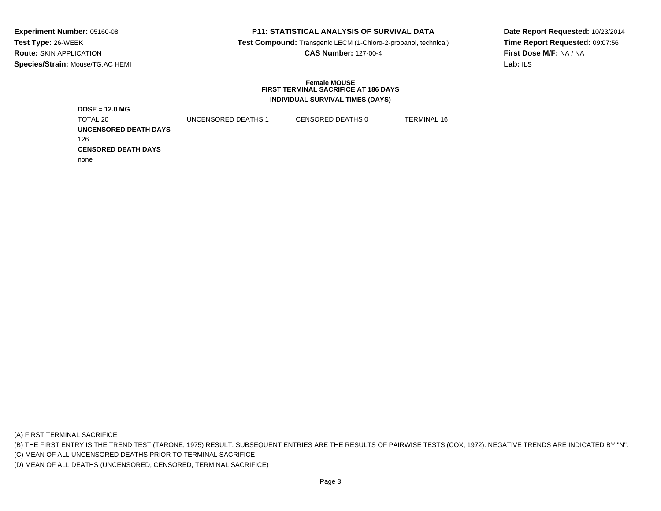# **P11: STATISTICAL ANALYSIS OF SURVIVAL DATA**

 **Test Compound:** Transgenic LECM (1-Chloro-2-propanol, technical)**CAS Number:** 127-00-4

**Date Report Requested:** 10/23/2014**Time Report Requested:** 09:07:56**First Dose M/F:** NA / NA**Lab:** ILS

#### **Female MOUSE FIRST TERMINAL SACRIFICE AT 186 DAYSINDIVIDUAL SURVIVAL TIMES (DAYS)**

| $DOSE = 12.0 MG$           |                     |                   |                    |  |
|----------------------------|---------------------|-------------------|--------------------|--|
| TOTAL 20                   | UNCENSORED DEATHS 1 | CENSORED DEATHS 0 | <b>TERMINAL 16</b> |  |
| UNCENSORED DEATH DAYS      |                     |                   |                    |  |
| 126                        |                     |                   |                    |  |
| <b>CENSORED DEATH DAYS</b> |                     |                   |                    |  |
| none                       |                     |                   |                    |  |

(A) FIRST TERMINAL SACRIFICE

(B) THE FIRST ENTRY IS THE TREND TEST (TARONE, 1975) RESULT. SUBSEQUENT ENTRIES ARE THE RESULTS OF PAIRWISE TESTS (COX, 1972). NEGATIVE TRENDS ARE INDICATED BY "N".

(C) MEAN OF ALL UNCENSORED DEATHS PRIOR TO TERMINAL SACRIFICE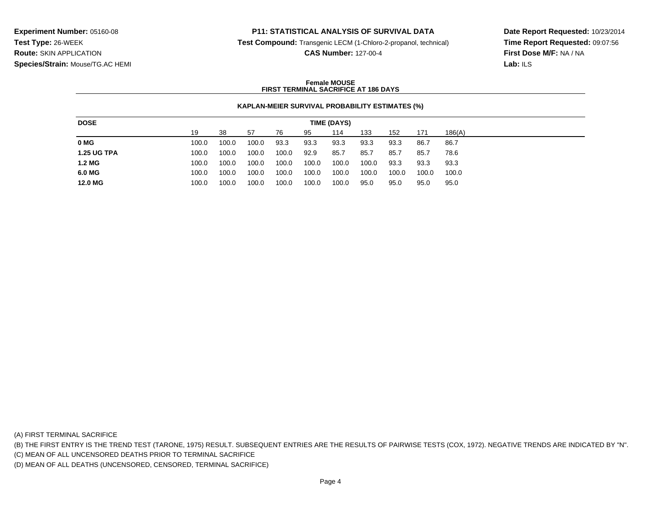### **P11: STATISTICAL ANALYSIS OF SURVIVAL DATA**

**Test Compound:** Transgenic LECM (1-Chloro-2-propanol, technical)

**CAS Number:** 127-00-4

**Date Report Requested:** 10/23/2014**Time Report Requested:** 09:07:56**First Dose M/F:** NA / NA**Lab:** ILS

#### **Female MOUSEFIRST TERMINAL SACRIFICE AT 186 DAYS**

#### **KAPLAN-MEIER SURVIVAL PROBABILITY ESTIMATES (%)**

| <b>DOSE</b>        |       |       |       |       |       | TIME (DAYS) |       |       |       |        |
|--------------------|-------|-------|-------|-------|-------|-------------|-------|-------|-------|--------|
|                    | 19    | 38    | -57   | 76    | 95    | 114         | 133   | 152   | 171   | 186(A) |
| 0 MG               | 100.0 | 100.0 | 100.0 | 93.3  | 93.3  | 93.3        | 93.3  | 93.3  | 86.7  | 86.7   |
| <b>1.25 UG TPA</b> | 100.0 | 100.0 | 100.0 | 100.0 | 92.9  | 85.7        | 85.7  | 85.7  | 85.7  | 78.6   |
| 1.2 MG             | 100.0 | 100.0 | 100.0 | 100.0 | 100.0 | 100.0       | 100.0 | 93.3  | 93.3  | 93.3   |
| 6.0 MG             | 100.0 | 100.0 | 100.0 | 100.0 | 100.0 | 100.0       | 100.0 | 100.0 | 100.0 | 100.0  |
| 12.0 MG            | 100.0 | 100.0 | 100.0 | 100.0 | 100.0 | 100.0       | 95.0  | 95.0  | 95.0  | 95.0   |

(A) FIRST TERMINAL SACRIFICE

(B) THE FIRST ENTRY IS THE TREND TEST (TARONE, 1975) RESULT. SUBSEQUENT ENTRIES ARE THE RESULTS OF PAIRWISE TESTS (COX, 1972). NEGATIVE TRENDS ARE INDICATED BY "N".

(C) MEAN OF ALL UNCENSORED DEATHS PRIOR TO TERMINAL SACRIFICE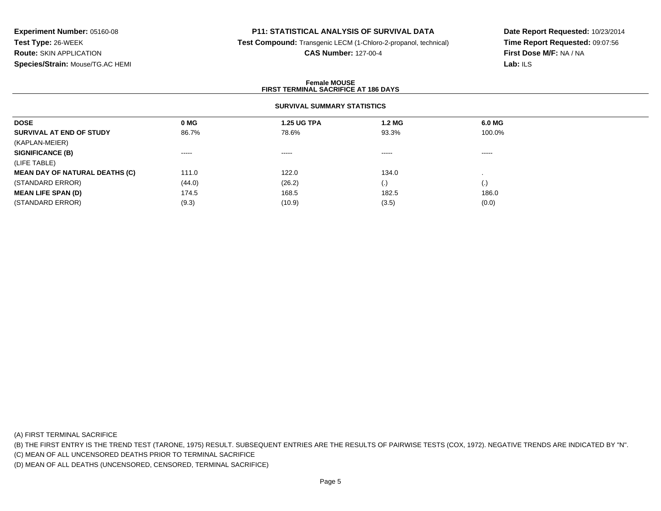# **P11: STATISTICAL ANALYSIS OF SURVIVAL DATA**

**Test Compound:** Transgenic LECM (1-Chloro-2-propanol, technical)

#### **CAS Number:** 127-00-4

**Date Report Requested:** 10/23/2014**Time Report Requested:** 09:07:56**First Dose M/F:** NA / NA**Lab:** ILS

#### **Female MOUSEFIRST TERMINAL SACRIFICE AT 186 DAYS**

# **SURVIVAL SUMMARY STATISTICS**

| <b>DOSE</b>                           | 0 MG   | <b>1.25 UG TPA</b> | 1.2 MG   | 6.0 MG            |
|---------------------------------------|--------|--------------------|----------|-------------------|
| SURVIVAL AT END OF STUDY              | 86.7%  | 78.6%              | 93.3%    | 100.0%            |
| (KAPLAN-MEIER)                        |        |                    |          |                   |
| <b>SIGNIFICANCE (B)</b>               | ------ | $\cdots$           | $\cdots$ | ------            |
| (LIFE TABLE)                          |        |                    |          |                   |
| <b>MEAN DAY OF NATURAL DEATHS (C)</b> | 111.0  | 122.0              | 134.0    |                   |
| (STANDARD ERROR)                      | (44.0) | (26.2)             | (.)      | $\left( .\right)$ |
| <b>MEAN LIFE SPAN (D)</b>             | 174.5  | 168.5              | 182.5    | 186.0             |
| (STANDARD ERROR)                      | (9.3)  | (10.9)             | (3.5)    | (0.0)             |
|                                       |        |                    |          |                   |

(A) FIRST TERMINAL SACRIFICE

(B) THE FIRST ENTRY IS THE TREND TEST (TARONE, 1975) RESULT. SUBSEQUENT ENTRIES ARE THE RESULTS OF PAIRWISE TESTS (COX, 1972). NEGATIVE TRENDS ARE INDICATED BY "N".

(C) MEAN OF ALL UNCENSORED DEATHS PRIOR TO TERMINAL SACRIFICE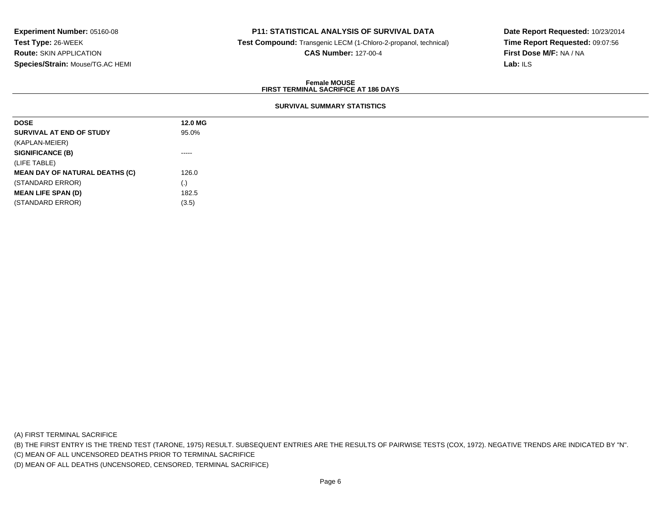# **P11: STATISTICAL ANALYSIS OF SURVIVAL DATA**

**Test Compound:** Transgenic LECM (1-Chloro-2-propanol, technical)

**CAS Number:** 127-00-4

**Date Report Requested:** 10/23/2014**Time Report Requested:** 09:07:56**First Dose M/F:** NA / NA**Lab:** ILS

#### **Female MOUSEFIRST TERMINAL SACRIFICE AT 186 DAYS**

# **SURVIVAL SUMMARY STATISTICS**

| <b>DOSE</b>                           | 12.0 MG                                                                                                                                                                                                                                                                                                                                                                                                                                                                                |
|---------------------------------------|----------------------------------------------------------------------------------------------------------------------------------------------------------------------------------------------------------------------------------------------------------------------------------------------------------------------------------------------------------------------------------------------------------------------------------------------------------------------------------------|
| SURVIVAL AT END OF STUDY              | 95.0%                                                                                                                                                                                                                                                                                                                                                                                                                                                                                  |
| (KAPLAN-MEIER)                        |                                                                                                                                                                                                                                                                                                                                                                                                                                                                                        |
| <b>SIGNIFICANCE (B)</b>               | $\begin{array}{cccccccccccccc} \multicolumn{2}{c}{} & \multicolumn{2}{c}{} & \multicolumn{2}{c}{} & \multicolumn{2}{c}{} & \multicolumn{2}{c}{} & \multicolumn{2}{c}{} & \multicolumn{2}{c}{} & \multicolumn{2}{c}{} & \multicolumn{2}{c}{} & \multicolumn{2}{c}{} & \multicolumn{2}{c}{} & \multicolumn{2}{c}{} & \multicolumn{2}{c}{} & \multicolumn{2}{c}{} & \multicolumn{2}{c}{} & \multicolumn{2}{c}{} & \multicolumn{2}{c}{} & \multicolumn{2}{c}{} & \multicolumn{2}{c}{} & \$ |
| (LIFE TABLE)                          |                                                                                                                                                                                                                                                                                                                                                                                                                                                                                        |
| <b>MEAN DAY OF NATURAL DEATHS (C)</b> | 126.0                                                                                                                                                                                                                                                                                                                                                                                                                                                                                  |
| (STANDARD ERROR)                      | $\left( \cdot \right)$                                                                                                                                                                                                                                                                                                                                                                                                                                                                 |
| <b>MEAN LIFE SPAN (D)</b>             | 182.5                                                                                                                                                                                                                                                                                                                                                                                                                                                                                  |
| (STANDARD ERROR)                      | (3.5)                                                                                                                                                                                                                                                                                                                                                                                                                                                                                  |

(A) FIRST TERMINAL SACRIFICE

(B) THE FIRST ENTRY IS THE TREND TEST (TARONE, 1975) RESULT. SUBSEQUENT ENTRIES ARE THE RESULTS OF PAIRWISE TESTS (COX, 1972). NEGATIVE TRENDS ARE INDICATED BY "N".

(C) MEAN OF ALL UNCENSORED DEATHS PRIOR TO TERMINAL SACRIFICE